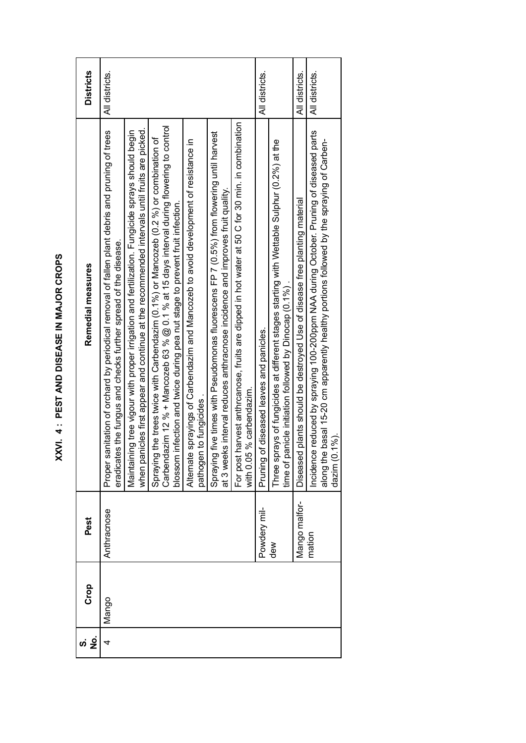| <b>Districts</b>  | All districts.                                                                                                                                                    |                                                                                                                                                                                                  |                                                                                                                                                                                                                                                                         |                                                                                                                  |                                                                                                                                                                            |                                                                                                                             | All districts.                           |                                                                                                                                                       | All districts.                                                            | All districts.                                                                                                                                                                                      |
|-------------------|-------------------------------------------------------------------------------------------------------------------------------------------------------------------|--------------------------------------------------------------------------------------------------------------------------------------------------------------------------------------------------|-------------------------------------------------------------------------------------------------------------------------------------------------------------------------------------------------------------------------------------------------------------------------|------------------------------------------------------------------------------------------------------------------|----------------------------------------------------------------------------------------------------------------------------------------------------------------------------|-----------------------------------------------------------------------------------------------------------------------------|------------------------------------------|-------------------------------------------------------------------------------------------------------------------------------------------------------|---------------------------------------------------------------------------|-----------------------------------------------------------------------------------------------------------------------------------------------------------------------------------------------------|
| Remedial measures | Proper sanitation of orchard by periodical removal of fallen plant debris and pruning of trees<br>eradicates the fungus and checks further spread of the disease. | when panicles first appear and continue at the recommended intervals until fruits are picked.<br>Maintaining tree vigour with proper irrigation and fertilization. Fungicide sprays should begin | lazim 12 % + Mancozeb 63 % @ 0.1 % at 15 days interval during flowering to control<br>Spraying the trees twice with Carbendazim (0.1%) or Mancozeb (0.2 %) or combination of<br>blossom infection and twice during pea nut stage to prevent fruit infection.<br>Carbend | Alternate sprayings of Carbendazim and Mancozeb to avoid development of resistance in<br>pathogen to fungicides. | Spraying five times with Pseudomonas fluorescens FP 7 (0.5%) from flowering until harvest<br>at 3 weeks interval reduces anthracnose incidence and improves fruit quality. | For post harvest anthrcanose, fruits are dipped in hot water at 50 C for 30 min. in combination<br>with 0.05 % carbendazim. | Pruning of diseased leaves and panicles. | Three sprays of fungicides at different stages starting with Wettable Sulphur (0.2%) at the<br>time of panicle initiation followed by Dinocap (0.1%). | Diseased plants should be destroyed Use of disease free planting material | Incidence reduced by spraying 100-200ppm NAA during October. Pruning of diseased parts<br>along the basal 15-20 cm apparently healthy portions followed by the spraying of Carben-<br>dazim (0.1%). |
| Pest              | Anthracnose                                                                                                                                                       |                                                                                                                                                                                                  |                                                                                                                                                                                                                                                                         |                                                                                                                  |                                                                                                                                                                            |                                                                                                                             | Powdery mil-                             | $\frac{8}{10}$                                                                                                                                        | Mango malfor-                                                             | mation                                                                                                                                                                                              |
| Crop              | Mango                                                                                                                                                             |                                                                                                                                                                                                  |                                                                                                                                                                                                                                                                         |                                                                                                                  |                                                                                                                                                                            |                                                                                                                             |                                          |                                                                                                                                                       |                                                                           |                                                                                                                                                                                                     |
| ġ<br><u>ဟ</u>     | 4                                                                                                                                                                 |                                                                                                                                                                                                  |                                                                                                                                                                                                                                                                         |                                                                                                                  |                                                                                                                                                                            |                                                                                                                             |                                          |                                                                                                                                                       |                                                                           |                                                                                                                                                                                                     |

XXVI. 4 : PEST AND DISEASE IN MAJOR CROPS **XXVI. 4 : PEST AND DISEASE IN MAJOR CROPS**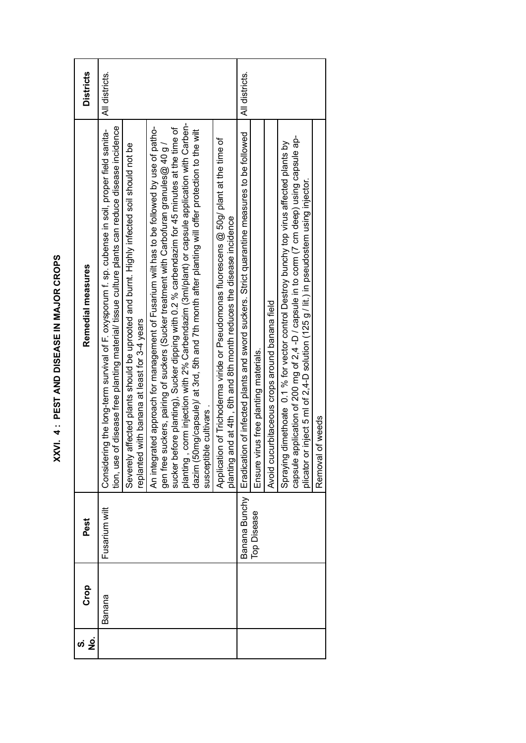| Crop   | Pest          | Remedial measures                                                                                                                                                                                  | <b>Districts</b> |
|--------|---------------|----------------------------------------------------------------------------------------------------------------------------------------------------------------------------------------------------|------------------|
| Banana | Fusarium wilt | tion, use of disease free planting material/ tissue culture plants can reduce disease incidence<br>Considering the long-term survival of F. oxysporum f. sp. cubense in soil, proper field sanita- | All districts.   |
|        |               | Severely affected plants should be uprooted and burnt. Highly infected soil should not be<br>replanted with banana at least for 3-4 years                                                          |                  |
|        |               | An integrated approach for management of Fusarium wilt has to be followed by use of patho-                                                                                                         |                  |
|        |               | sucker before planting), Sucker dipping with 0.2 % carbendazim for 45 minutes at the time of<br>gen free suckers, pairing of suckers (Sucker treatment with Carbofuran granules@ 40 g /            |                  |
|        |               | planting, corm injection with 2% Carbendazim (3ml/plant) or capsule application with Carben-                                                                                                       |                  |
|        |               | dazim (50mg/capsule)/ at 3rd, 5th and 7th month after planting will offer protection to the wilt<br>susceptible cultivars.                                                                         |                  |
|        |               |                                                                                                                                                                                                    |                  |
|        |               | Application of Trichoderma viride or Pseudomonas fluorescens @ 50g/ plant at the time of<br>and at 4th, 6th and 8th month reduces the disease incidence<br>planting                                |                  |
|        | Banana Bunchy | Eradication of infected plants and sword suckers. Strict quarantine measures to be followed                                                                                                        | All districts.   |
|        | Top Disease   | virus free planting materials.<br>Ensure                                                                                                                                                           |                  |
|        |               | Avoid cucurbitaceous crops around banana field                                                                                                                                                     |                  |
|        |               | Spraying dimethoate 0.1 % for vector control Destroy bunchy top virus affected plants by                                                                                                           |                  |
|        |               | application of 200 mg of 2,4 -D / capsule in to corm (7 cm deep) using capsule ap-<br>or inject 5 ml of 2,4-D solution (125 g / lit.) in pseudostem using injector.<br>capsule<br>plicator         |                  |
|        |               | Removal of weeds                                                                                                                                                                                   |                  |

XXVI. 4 : PEST AND DISEASE IN MAJOR CROPS **XXVI. 4 : PEST AND DISEASE IN MAJOR CROPS**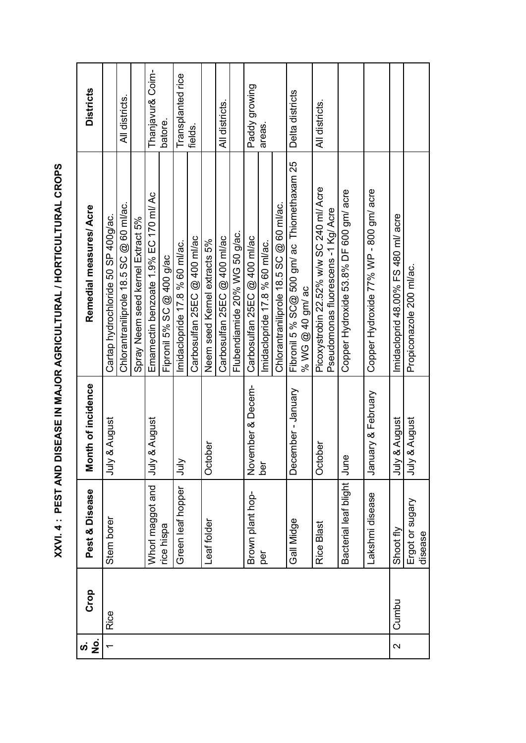| PEST AND DISEASE IN MAJOR AGRICULTURAL / HORTICULTURAL CROPS |               |
|--------------------------------------------------------------|---------------|
|                                                              |               |
|                                                              |               |
|                                                              |               |
|                                                              | _<br>כן<br>בן |
|                                                              |               |

| ഗ      | Crop  | Pest & Disease             | Month of incidence              | Remedial measures/Acre                                                          | <b>Districts</b>  |
|--------|-------|----------------------------|---------------------------------|---------------------------------------------------------------------------------|-------------------|
| ف<br>Z |       |                            |                                 |                                                                                 |                   |
|        | Rice  | Stem borer                 | & August<br>July                | Cartap hydrochloride 50 SP 400g/ac.                                             |                   |
|        |       |                            |                                 | Chlorantraniliprole 18.5 SC @ 60 ml/ac.                                         | All districts.    |
|        |       |                            |                                 | Spray Neem seed kernel Extract 5%                                               |                   |
|        |       | Whorl maggot and           | & August<br>July                | Emamectin benzoate 1.9% EC 170 ml/ Ac                                           | Thanjavur& Coim-  |
|        |       | rice hispa                 |                                 | Fipronil 5% SC $@$ 400 g/ac                                                     | batore.           |
|        |       | Green leaf hopper          | July                            | Imidaclopride 17.8 % 60 ml/ac.                                                  | Transplanted rice |
|        |       |                            |                                 | Carbosulfan 25EC @ 400 ml/ac                                                    | fields.           |
|        |       | Leaf folder                | October                         | Neem seed Kernel extracts 5%                                                    |                   |
|        |       |                            |                                 | Carbosulfan 25EC @ 400 ml/ac                                                    | All districts.    |
|        |       |                            |                                 | Flubendiamide 20% WG 50 g/ac.                                                   |                   |
|        |       | Brown plant hop-           | ember & Decem-<br>$\frac{5}{2}$ | Carbosulfan 25EC @ 400 ml/ac                                                    | Paddy growing     |
|        |       | per                        | ber                             | Imidaclopride 17.8 % 60 ml/ac.                                                  | areas.            |
|        |       |                            |                                 | Chlorantraniliprole 18.5 SC @ 60 ml/ac.                                         |                   |
|        |       | Gall Midge                 | ember-January<br>Ďе<br>О        | Fibronil 5 % SC@ 500 gm/ ac Thiomethaxam 25<br>% WG @ 40 gm/ ac                 | Delta districts   |
|        |       | <b>Rice Blast</b>          | October                         | Picoxystrobin 22.52% w/w SC 240 ml/ Acre<br>Pseudomonas fluorescens -1 Kg/ Acre | All districts.    |
|        |       | Bacterial leaf blight      | June                            | Copper Hydroxide 53.8% DF 600 gm/ acre                                          |                   |
|        |       | Lakshmi disease            | January & February              | Copper Hydroxide 77% WP - 800 gm/ acre                                          |                   |
| $\sim$ | Cumbu | Shoot fly                  | & August<br>July                | Imidacloprid 48.00% FS 480 ml/ acre                                             |                   |
|        |       | Ergot or sugary<br>disease | & August<br>July                | Propiconazole 200 ml/ac.                                                        |                   |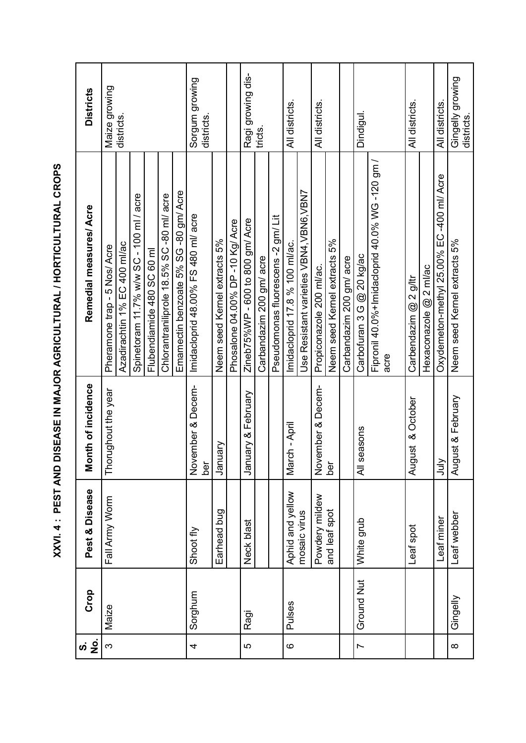| $\frac{1}{2}$<br>$\dot{\bm{\mathsf{o}}}$ | Crop              | Pest & Disease   | Month of incidence               | Remedial measures/ Acre                       | <b>Districts</b>               |
|------------------------------------------|-------------------|------------------|----------------------------------|-----------------------------------------------|--------------------------------|
| S                                        | Maize             | Fall Army Worm   | Thorughout the year              | Pheramone trap - 5 Nos/ Acre                  | Maize growing                  |
|                                          |                   |                  |                                  | Azadirachtin 1% EC 400 ml/ac                  | districts.                     |
|                                          |                   |                  |                                  | Spinetoram 11.7% w/w SC - 100 ml / acre       |                                |
|                                          |                   |                  |                                  | Flubendiamide 480 SC 60 ml                    |                                |
|                                          |                   |                  |                                  | Chlorantraniliprole 18.5% SC-80 ml/ acre      |                                |
|                                          |                   |                  |                                  | Emamectin benzoate 5% SG -80 gm/ Acre         |                                |
| 4                                        | Sorghum           | Shoot fly        | November & Decem-<br>ber         | Imidacloprid 48.00% FS 480 ml/ acre           | Sorgum growing<br>districts    |
|                                          |                   | Earhead bug      | Vien<br>Jan                      | Neem seed Kernel extracts 5%                  |                                |
|                                          |                   |                  |                                  | Phosalone 04.00% DP -10 Kg/ Acre              |                                |
| LO                                       | Ragi              | Neck blast       | uary & February<br>nap<br>Jan    | Zineb75%WP - 600 to 800 gm/ Acre              | Ragi growing dis-              |
|                                          |                   |                  |                                  | Carbandazim 200 gm/ acre                      | tricts.                        |
|                                          |                   |                  |                                  | Pseudomonas fluorescens -2 gm/Lit             |                                |
| $\circ$                                  | Pulses            | Aphid and yellow | rch - April<br>Nar               | Imidacloprid 17.8 % 100 ml/ac.                | All districts                  |
|                                          |                   | mosaic virus     |                                  | Use Resistant varieties VBN4, VBN6, VBN7      |                                |
|                                          |                   | Powdery mildew   | rember & Decem-<br>$\frac{5}{2}$ | Propiconazole 200 ml/ac.                      | All districts.                 |
|                                          |                   | and leaf spot    | ber                              | Neem seed Kernel extracts 5%                  |                                |
|                                          |                   |                  |                                  | Carbandazim 200 gm/ acre                      |                                |
| $\overline{ }$                           | <b>Ground Nut</b> | White grub       | All seasons                      | Carbofuran 3 G @ 20 kg/ac                     | Dindigul.                      |
|                                          |                   |                  |                                  | Fipronil 40.0%+Imidacloprid 40.0% WG-120 gm / |                                |
|                                          |                   |                  |                                  | acre                                          |                                |
|                                          |                   | Leaf spot        | August & October                 | Carbendazim @ 2 g/ltr                         | All districts.                 |
|                                          |                   |                  |                                  | Hexaconazole @ 2 ml/ac                        |                                |
|                                          |                   | eaf miner        | July                             | Oxydemeton-methyl 25.00% EC 400 ml/ Acre      | All districts                  |
| $\infty$                                 | Gingelly          | Leaf webber      | August & February                | Neem seed Kernel extracts 5%                  | Gingelly growing<br>districts. |

XXVI. 4 : PEST AND DISEASE IN MAJOR AGRICULTURAL / HORTICULTURAL CROPS **XXVI. 4 : PEST AND DISEASE IN MAJOR AGRICULTURAL / HORTICULTURAL CROPS**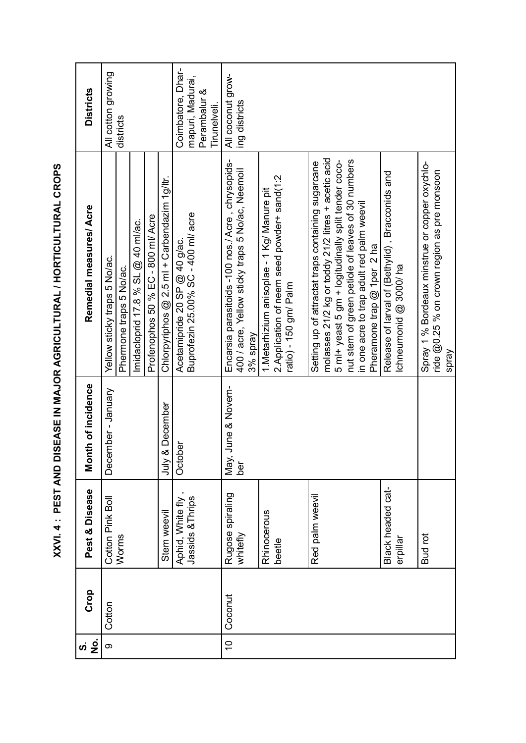| <u>ہ</u><br>Z<br>ທ່ | Crop    | Pest & Disease                       | Month of incidence   | Remedial measures/ Acre                                                                        | <b>Districts</b>                      |
|---------------------|---------|--------------------------------------|----------------------|------------------------------------------------------------------------------------------------|---------------------------------------|
| တ                   | Cotton  | Cotton Pink Boll                     | December - January   | Yellow sticky traps 5 No/ac.                                                                   | All cotton growing                    |
|                     |         | Worms                                |                      | Phermone traps 5 No/ac.                                                                        | districts                             |
|                     |         |                                      |                      | Imidacloprid 17.8 % SL @ 40 ml/ac.                                                             |                                       |
|                     |         |                                      |                      | Profenophos 50 % EC - 800 ml/ Acre                                                             |                                       |
|                     |         | Stem weevil                          | & December<br>∖inr   | Chlorpyriphos $@$ 2.5 ml + Carbendazim 1g/ltr.                                                 |                                       |
|                     |         | Aphid, White fly<br>Jassids & Thrips | October              | Acetamipride 20 SP @ 40 g/ac.<br>Buprofezin 25.00% SC - 400 ml/ acre                           | Coimbatore, Dhar-<br>mapuri, Madurai, |
|                     |         |                                      |                      |                                                                                                | Perambalur &<br>Tirunelveli.          |
| $\overline{0}$      | Coconut | Rugose spiraling                     | June & Novem-<br>Мay | Encarsia parasitoids -100 nos./ Acre, chrysopids-                                              | All coconut grow-                     |
|                     |         | whitefly                             | ber                  | 400 / acre, Yellow sticky traps 5 No/ac, Neemoil<br>3% spray                                   | ing districts                         |
|                     |         | Rhinocerous                          |                      | 1. Metarhizium anisoplae - 1 Kg/ Manure pit                                                    |                                       |
|                     |         | beetle                               |                      | 2. Application of neem seed powder+ sand(1:2<br>ratio) - 150 gm/ Palm                          |                                       |
|                     |         |                                      |                      |                                                                                                |                                       |
|                     |         | Red palm weevil                      |                      | Setting up of attractat traps containing sugarcane                                             |                                       |
|                     |         |                                      |                      | molasses 21/2 kg or toddy 21/2 litres + acetic acid                                            |                                       |
|                     |         |                                      |                      | 5 ml+ yeast 5 gm + logitudinally split tender coco-                                            |                                       |
|                     |         |                                      |                      | nut stem of green petiole of leaves of 30 numbers<br>in one acre to trap adult red palm weevil |                                       |
|                     |         |                                      |                      | Pheramone trap $@$ 1 per 2 ha                                                                  |                                       |
|                     |         | Black headed cat-                    |                      | Release of larval of (Bethylid), Bracconids and                                                |                                       |
|                     |         | erpillar                             |                      | Ichneumonid $@3000$ /ha                                                                        |                                       |
|                     |         | <b>Budrot</b>                        |                      | Spray 1 % Bordeaux minstrue or copper oxychlo-                                                 |                                       |
|                     |         |                                      |                      | ride @0.25 % on crown region as pre monsoon<br>Spray                                           |                                       |
|                     |         |                                      |                      |                                                                                                |                                       |

XXVI. 4 : PEST AND DISEASE IN MAJOR AGRICULTURAL / HORTICULTURAL CROPS **XXVI. 4 : PEST AND DISEASE IN MAJOR AGRICULTURAL / HORTICULTURAL CROPS**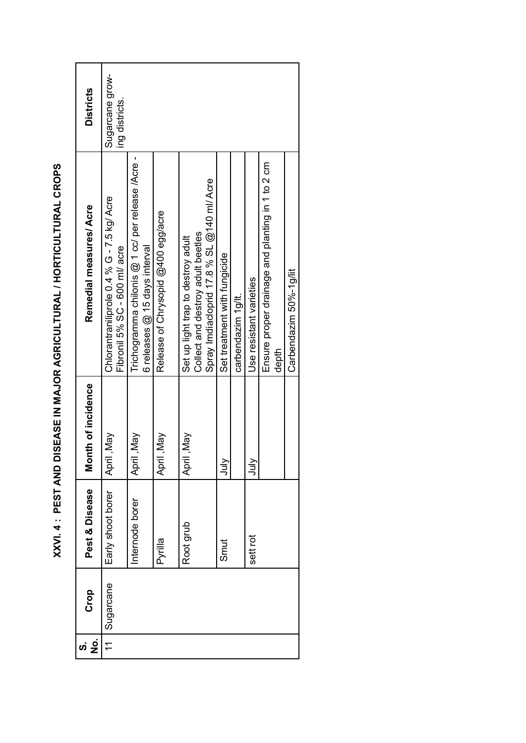| ġ     | Crop      | Pest & Disease    | Month of incidence | Remedial measures/ Acre                                                             | <b>Districts</b>                  |
|-------|-----------|-------------------|--------------------|-------------------------------------------------------------------------------------|-----------------------------------|
| $\pm$ | Sugarcane | Early shoot borer | April, May         | Chlorantraniliprole 0.4 % G - 7.5 kg/ Acre<br>Fibronil 5% SC - 600 ml/ acre         | Sugarcane grow-<br>ing districts. |
|       |           | Internode borer   | April, May         | Trichogramma chilonis @ 1 cc/ per release /Acre-<br>6 releases $@$ 15 days interval |                                   |
|       |           | Pyrilla           | April ,May         | Release of Chrysopid @400 egg/acre                                                  |                                   |
|       |           | Root grub         | April ,May         | Collect and destroy adult beetles<br>Set up light trap to destroy adult             |                                   |
|       |           |                   |                    | Spray Imdiacloprid 17.8 % SL @140 ml/ Acre                                          |                                   |
|       |           | Smut              | ∖lul               | Set treatment with fungicide                                                        |                                   |
|       |           |                   |                    | carbendazim 1 g/lt.                                                                 |                                   |
|       |           | sett rot          | ∖lul               | Use resistant varieties                                                             |                                   |
|       |           |                   |                    | Ensure proper drainage and planting in 1 to 2 cm                                    |                                   |
|       |           |                   |                    | depth                                                                               |                                   |
|       |           |                   |                    | Carbendazim 50%-1 g/lit                                                             |                                   |

XXVI. 4 : PEST AND DISEASE IN MAJOR AGRICULTURAL / HORTICULTURAL CROPS **XXVI. 4 : PEST AND DISEASE IN MAJOR AGRICULTURAL / HORTICULTURAL CROPS**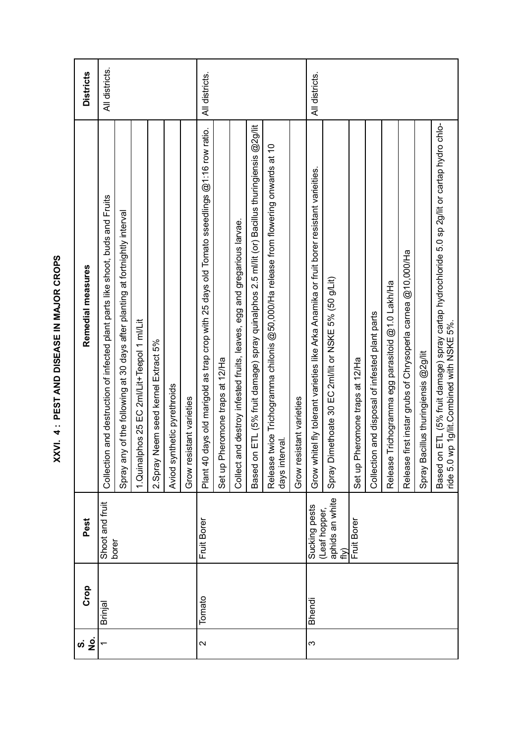| j              |
|----------------|
| .<br>.<br>.    |
| Ē<br>・・・・・・・・・ |
| į              |
| ししし            |
|                |
|                |

|                   | Crop          | Pest                                    | Remedial measures                                                                                                                                  | <b>Districts</b> |
|-------------------|---------------|-----------------------------------------|----------------------------------------------------------------------------------------------------------------------------------------------------|------------------|
|                   | Brinjal       | Shoot and fruit<br>borer                | Collection and destruction of infected plant parts like shoot, buds and Fruits                                                                     | All districts.   |
|                   |               |                                         | Spray any of the following at 30 days after planting at fortnightly interval                                                                       |                  |
|                   |               |                                         | 1.Quinalphos 25 EC 2ml/Lit+Teepol 1 ml/Lit                                                                                                         |                  |
|                   |               |                                         | 2. Spray Neem seed kernel Extract 5%                                                                                                               |                  |
|                   |               |                                         | ithetic pyrethroids<br>Aviod syr                                                                                                                   |                  |
|                   |               |                                         | Grow resistant varieties                                                                                                                           |                  |
| $\mathbf{\Omega}$ | Tomato        | Fruit Borer                             | days old marigold as trap crop with 25 days old Tomato sseedlings @1:16 row ratio.<br>Plant 40                                                     | All districts.   |
|                   |               |                                         | Set up Pheromone traps at 12/Ha                                                                                                                    |                  |
|                   |               |                                         | nd destroy infested fruits, leaves, egg and gregarious larvae.<br>Collect ar                                                                       |                  |
|                   |               |                                         | ETL (5% fruit damage) spray quinalphos 2.5 ml/lit (or) Bacillus thuringiensis @2g/lit<br>Based on                                                  |                  |
|                   |               |                                         | twice Trichogramma chilonis @50,000/Ha release from flowering onwards at 10<br>days interval.<br>Release                                           |                  |
|                   |               |                                         | Grow resistant varieties                                                                                                                           |                  |
| က                 | <b>Bhendi</b> | Sucking pests                           | Grow whitel fly tolerant varieties like Arka Anamika or fruit borer resistant varietites.                                                          | All districts.   |
|                   |               | aphids an white<br>(Leaf hopper,<br>ر∕⊪ | Spray Dimethoate 30 EC 2ml/lit or NSKE 5% (50 g/Lit)                                                                                               |                  |
|                   |               | Fruit Borer                             | Set up Pheromone traps at 12/Ha                                                                                                                    |                  |
|                   |               |                                         | Collection and disposal of infested plant parts                                                                                                    |                  |
|                   |               |                                         | Trichogramma egg parasitoid @1.0 Lakh/Ha<br>Release                                                                                                |                  |
|                   |               |                                         | first instar grubs of Chrysoperla carnea @10,000/Ha<br>Release                                                                                     |                  |
|                   |               |                                         | Spray Bacillus thuringiensis @2g/lit                                                                                                               |                  |
|                   |               |                                         | ETL (5% fruit damage) spray cartap hydrochloride 5.0 sp 2g/lit or cartap hydro chlo-<br>rp 1g/lit.Combined with NSKE 5%.<br>Based on<br>ride 5.0 w |                  |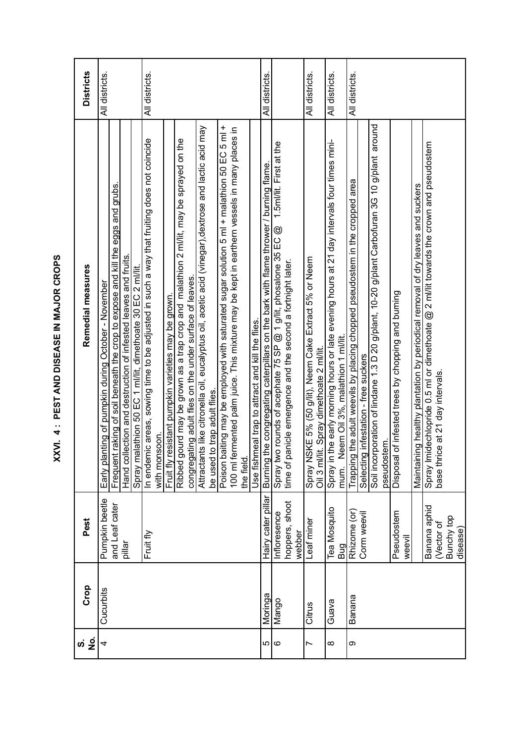| にくにく      |  |
|-----------|--|
|           |  |
| ここ しくしくこく |  |
| Ĩ,        |  |
| トロロロ      |  |
| J         |  |

|                                           | <b>Districts</b>  | All districts.                                                                                                                                                                                                                                                            | All districts.                                                                                                                                                                                                                                                                                                                                                                                                                                                                                                                                                                                                                                                                                                                     | All districts.                                                                                                                                                                                                                                  | All districts.<br>All districts.                                                                                                                                                                                                             | All districts.                                                                                                                                                                                                                                                                                                                                                                                                                                                                                                    |
|-------------------------------------------|-------------------|---------------------------------------------------------------------------------------------------------------------------------------------------------------------------------------------------------------------------------------------------------------------------|------------------------------------------------------------------------------------------------------------------------------------------------------------------------------------------------------------------------------------------------------------------------------------------------------------------------------------------------------------------------------------------------------------------------------------------------------------------------------------------------------------------------------------------------------------------------------------------------------------------------------------------------------------------------------------------------------------------------------------|-------------------------------------------------------------------------------------------------------------------------------------------------------------------------------------------------------------------------------------------------|----------------------------------------------------------------------------------------------------------------------------------------------------------------------------------------------------------------------------------------------|-------------------------------------------------------------------------------------------------------------------------------------------------------------------------------------------------------------------------------------------------------------------------------------------------------------------------------------------------------------------------------------------------------------------------------------------------------------------------------------------------------------------|
| XXVI. 4 : PEST AND DISEASE IN MAJOR CROPS | Remedial measures | Frequent raking of soil beneath the crop to expose and kill the eggs and grubs.<br>lection and destruction of infested leaves and fruits<br>Spray malathion 50 EC 1 ml/lit, dimethoate 30 EC 2 ml/lit.<br>Early planting of pumpkin during October - November<br>Hand col | Poison baiting may be employed with saturated sugar solution 5 ml + malathion 50 EC 5 ml +<br>Attractants like citronella oil, eucalyptus oil, acetic acid (vinegar), dextrose and lactic acid may<br>100 ml fermented palm juice. This mixture may be kept in earthern vessels in many places in<br>In endernic areas, sowing time to be adjusted in such a way that fruiting does not coincide<br>Ribbed gourd may be grown as a trap crop and malathion 2 milit, may be sprayed on the<br>congregating adult files on the under surface of leaves.<br>Fruit fly resistant pumpkin varieties may be grown.<br>Use fishmeal trap to attract and kill the flies.<br>to trap adult flies.<br>with monsoon.<br>be used<br>the field. | Spray two rounds of acephate 75 SP $@$ 1 g/lit, phosalone 35 EC $@$ 1.5ml/lit. First at the time of panicle emergence and the second a fortnight later.<br>Burning the congregating caterpillars on the bark with flame thrower / burning flame | evening hours at 21 day intervals four times mini-<br>Spray NSKE 5% (50 g/lit), Neem Cake Extract 5% or Neem<br>Spray in the early morning hours or late<br>mum. Neem Oil 3%, malathion 1 ml/lit<br>Oil 3 ml/lit. Spray dimethoate 2 ml/lit. | Soil incorporation of lindane 1.3 D 20 g/plant, 10-20 g/plant Carbofuran 3G 10 g/plant around<br>Spray Imidechlopride 0.5 ml or dimethoate $@$ 2 ml/lit towards the crown and pseudostem<br>base thrice at 21 day intervals.<br>Trapping the adult weevils by placing chopped pseudostem in the cropped area<br>ng healthy plantation by periodical removal of dry leaves and suckers<br>of infested trees by chopping and burning<br>Selecting infestation - free suckers<br>pseudostem<br>Maintaini<br>Disposal |
|                                           | Pest              | Pumpkin beetle<br>and Leaf cater<br>pillar                                                                                                                                                                                                                                | Fruit fly                                                                                                                                                                                                                                                                                                                                                                                                                                                                                                                                                                                                                                                                                                                          | Hairy cater pillar<br>hoppers, shoot<br>Infloresence<br>webber                                                                                                                                                                                  | <b>Tea Mosquito</b><br>Leaf miner<br>Bug                                                                                                                                                                                                     | Banana aphid<br>Rhizome (or)<br>Pseudostem<br>Corm weevil<br>(Vector of<br>Bunchy top<br>disease)<br>weevil                                                                                                                                                                                                                                                                                                                                                                                                       |
|                                           | Crop              | Cucurbits                                                                                                                                                                                                                                                                 |                                                                                                                                                                                                                                                                                                                                                                                                                                                                                                                                                                                                                                                                                                                                    | Moringa<br>Mango                                                                                                                                                                                                                                | Guava<br>Citrus                                                                                                                                                                                                                              | Banana                                                                                                                                                                                                                                                                                                                                                                                                                                                                                                            |
|                                           |                   | 4                                                                                                                                                                                                                                                                         |                                                                                                                                                                                                                                                                                                                                                                                                                                                                                                                                                                                                                                                                                                                                    | ပေ ထ                                                                                                                                                                                                                                            | ∞<br>Ľ                                                                                                                                                                                                                                       | တ                                                                                                                                                                                                                                                                                                                                                                                                                                                                                                                 |